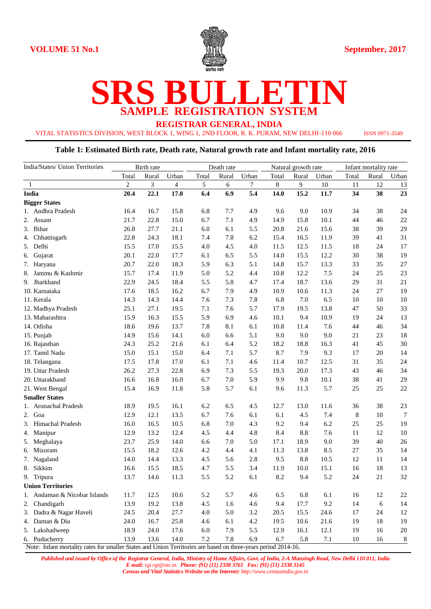

# **SRS BULLETIN SAMPLE REGISTRATION SYSTEM**

**REGISTRAR GENERAL, INDIA**

VITAL STATISTICS DIVISION, WEST BLOCK 1, WING 1, 2ND FLOOR, R. K. PURAM, NEW DELHI-110 066 ISSN 0971-3549

#### **Table 1: Estimated Birth rate, Death rate, Natural growth rate and Infant mortality rate, 2016**

| India/States/ Union Territories                                                                                | Birth rate     |       |       | Death rate |       |       | Natural growth rate |         |       | Infant mortality rate |       |        |
|----------------------------------------------------------------------------------------------------------------|----------------|-------|-------|------------|-------|-------|---------------------|---------|-------|-----------------------|-------|--------|
|                                                                                                                | Total          | Rural | Urban | Total      | Rural | Urban | Total               | Rural   | Urban | Total                 | Rural | Urban  |
| 1                                                                                                              | $\overline{c}$ | 3     | 4     | 5          | 6     | 7     | $8\,$               | 9       | 10    | 11                    | 12    | 13     |
| <b>India</b>                                                                                                   | 20.4           | 22.1  | 17.0  | 6.4        | 6.9   | 5.4   | 14.0                | 15.2    | 11.7  | 34                    | 38    | 23     |
| <b>Bigger States</b>                                                                                           |                |       |       |            |       |       |                     |         |       |                       |       |        |
| 1. Andhra Pradesh                                                                                              | 16.4           | 16.7  | 15.8  | 6.8        | 7.7   | 4.9   | 9.6                 | 9.0     | 10.9  | 34                    | 38    | 24     |
| 2. Assam                                                                                                       | 21.7           | 22.8  | 15.0  | 6.7        | 7.1   | 4.9   | 14.9                | 15.8    | 10.1  | 44                    | 46    | 22     |
| 3. Bihar                                                                                                       | 26.8           | 27.7  | 21.1  | 6.0        | 6.1   | 5.5   | 20.8                | 21.6    | 15.6  | 38                    | 39    | 29     |
| 4. Chhattisgarh                                                                                                | 22.8           | 24.3  | 18.1  | 7.4        | 7.8   | 6.2   | 15.4                | 16.5    | 11.9  | 39                    | 41    | 31     |
| 5. Delhi                                                                                                       | 15.5           | 17.0  | 15.5  | 4.0        | 4.5   | 4.0   | 11.5                | 12.5    | 11.5  | 18                    | 24    | 17     |
| Gujarat<br>6.                                                                                                  | 20.1           | 22.0  | 17.7  | 6.1        | 6.5   | 5.5   | 14.0                | 15.5    | 12.2  | 30                    | 38    | 19     |
| 7. Haryana                                                                                                     | 20.7           | 22.0  | 18.3  | 5.9        | 6.3   | 5.1   | 14.8                | 15.7    | 13.3  | 33                    | 35    | 27     |
| Jammu & Kashmir<br>8.                                                                                          | 15.7           | 17.4  | 11.9  | 5.0        | 5.2   | 4.4   | 10.8                | 12.2    | 7.5   | 24                    | 25    | 23     |
| 9. Jharkhand                                                                                                   | 22.9           | 24.5  | 18.4  | 5.5        | 5.8   | 4.7   | 17.4                | 18.7    | 13.6  | 29                    | 31    | 21     |
| 10. Karnataka                                                                                                  | 17.6           | 18.5  | 16.2  | 6.7        | 7.9   | 4.9   | 10.9                | 10.6    | 11.3  | 24                    | 27    | 19     |
| 11. Kerala                                                                                                     | 14.3           | 14.3  | 14.4  | 7.6        | 7.3   | 7.8   | 6.8                 | 7.0     | 6.5   | 10                    | 10    | 10     |
| 12. Madhya Pradesh                                                                                             | 25.1           | 27.1  | 19.5  | 7.1        | 7.6   | 5.7   | 17.9                | 19.5    | 13.8  | 47                    | 50    | 33     |
| 13. Maharashtra                                                                                                | 15.9           | 16.3  | 15.5  | 5.9        | 6.9   | 4.6   | 10.1                | 9.4     | 10.9  | 19                    | 24    | 13     |
| 14. Odisha                                                                                                     | 18.6           | 19.6  | 13.7  | 7.8        | 8.1   | 6.1   | 10.8                | 11.4    | 7.6   | 44                    | 46    | 34     |
| 15. Punjab                                                                                                     | 14.9           | 15.6  | 14.1  | 6.0        | 6.6   | 5.1   | 9.0                 | 9.0     | 9.0   | 21                    | 23    | 18     |
| 16. Rajasthan                                                                                                  | 24.3           | 25.2  | 21.6  | 6.1        | 6.4   | 5.2   | 18.2                | 18.8    | 16.3  | 41                    | 45    | $30\,$ |
| 17. Tamil Nadu                                                                                                 | 15.0           | 15.1  | 15.0  | 6.4        | 7.1   | 5.7   | 8.7                 | 7.9     | 9.3   | 17                    | 20    | 14     |
| 18. Telangana                                                                                                  | 17.5           | 17.8  | 17.0  | 6.1        | 7.1   | 4.6   | 11.4                | 10.7    | 12.5  | 31                    | 35    | 24     |
| 19. Uttar Pradesh                                                                                              | 26.2           | 27.3  | 22.8  | 6.9        | 7.3   | 5.5   | 19.3                | 20.0    | 17.3  | 43                    | 46    | 34     |
| 20. Uttarakhand                                                                                                | 16.6           | 16.8  | 16.0  | 6.7        | 7.0   | 5.9   | 9.9                 | 9.8     | 10.1  | 38                    | 41    | 29     |
| 21. West Bengal                                                                                                | 15.4           | 16.9  | 11.8  | 5.8        | 5.7   | 6.1   | 9.6                 | 11.3    | 5.7   | 25                    | 25    | $22\,$ |
| <b>Smaller States</b>                                                                                          |                |       |       |            |       |       |                     |         |       |                       |       |        |
| 1. Arunachal Pradesh                                                                                           | 18.9           | 19.5  | 16.1  | 6.2        | 6.5   | 4.5   | 12.7                | 13.0    | 11.6  | 36                    | 38    | 23     |
| 2. Goa                                                                                                         | 12.9           | 12.1  | 13.5  | 6.7        | 7.6   | 6.1   | 6.1                 | 4.5     | 7.4   | $\,8\,$               | 10    | $\tau$ |
| 3. Himachal Pradesh                                                                                            | 16.0           | 16.5  | 10.5  | 6.8        | 7.0   | 4.3   | 9.2                 | 9.4     | 6.2   | 25                    | 25    | 19     |
| 4. Manipur                                                                                                     | 12.9           | 13.2  | 12.4  | 4.5        | 4.4   | 4.8   | 8.4                 | 8.8     | 7.6   | 11                    | 12    | $10\,$ |
| 5. Meghalaya                                                                                                   | 23.7           | 25.9  | 14.0  | 6.6        | 7.0   | 5.0   | 17.1                | 18.9    | 9.0   | 39                    | 40    | $26\,$ |
| 6. Mizoram                                                                                                     | 15.5           | 18.2  | 12.6  | 4.2        | 4.4   | 4.1   | 11.3                | 13.8    | 8.5   | 27                    | 35    | 14     |
| 7. Nagaland                                                                                                    | 14.0           | 14.4  | 13.3  | 4.5        | 5.6   | 2.8   | 9.5                 | $8.8\,$ | 10.5  | 12                    | 11    | 14     |
| Sikkim<br>8.                                                                                                   | 16.6           | 15.5  | 18.5  | 4.7        | 5.5   | 3.4   | 11.9                | 10.0    | 15.1  | 16                    | 18    | 13     |
| 9. Tripura                                                                                                     | 13.7           | 14.6  | 11.3  | 5.5        | 5.2   | 6.1   | 8.2                 | 9.4     | 5.2   | 24                    | 21    | 32     |
| <b>Union Territories</b>                                                                                       |                |       |       |            |       |       |                     |         |       |                       |       |        |
| 1. Andaman & Nicobar Islands                                                                                   | 11.7           | 12.5  | 10.6  | 5.2        | 5.7   | 4.6   | 6.5                 | 6.8     | 6.1   | 16                    | 12    | 22     |
| 2. Chandigarh                                                                                                  | 13.9           | 19.2  | 13.8  | 4.5        | 1.6   | 4.6   | 9.4                 | 17.7    | 9.2   | 14                    | 6     | 14     |
| 3. Dadra & Nagar Haveli                                                                                        | 24.5           | 20.4  | 27.7  | 4.0        | 5.0   | 3.2   | 20.5                | 15.5    | 24.6  | 17                    | 24    | 12     |
| 4. Daman & Diu                                                                                                 | 24.0           | 16.7  | 25.8  | 4.6        | 6.1   | 4.2   | 19.5                | 10.6    | 21.6  | 19                    | 18    | 19     |
| 5. Lakshadweep                                                                                                 | 18.9           | 24.0  | 17.6  | 6.0        | 7.9   | 5.5   | 12.9                | 16.1    | 12.1  | 19                    | 16    | $20\,$ |
| 6. Puducherry                                                                                                  | 13.9           | 13.6  | 14.0  | 7.2        | 7.8   | 6.9   | 6.7                 | 5.8     | 7.1   | 10                    | 16    | 8      |
| Note: Infant mortality rates for smaller States and Union Territories are based on three-years period 2014-16. |                |       |       |            |       |       |                     |         |       |                       |       |        |

*Published and issued by Office of the Registrar General, India, Ministry of Home Affairs, Govt. of India, 2-A Mansingh Road, New Delhi 110 011, India E mail: rgi.rgi@nic.in Phone: (91) (11) 2338 3761 Fax: (91) (11) 2338 3145 Census and Vital Statistics Website on the Internet: http://www.censusindia.gov.in*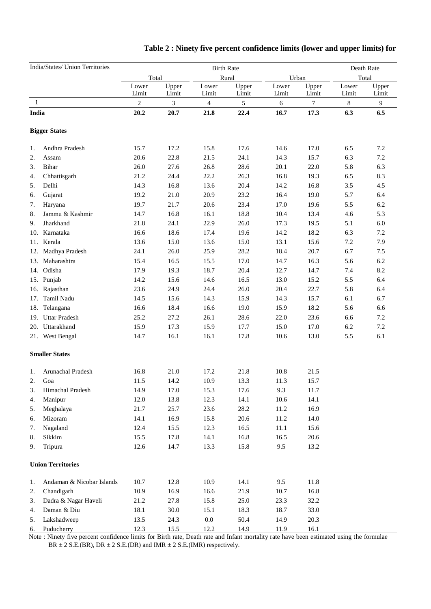|       | India/States/ Union Territories |                  | Death Rate     |                   |                |                |                |                |                |
|-------|---------------------------------|------------------|----------------|-------------------|----------------|----------------|----------------|----------------|----------------|
|       |                                 | Total            |                | <b>Birth Rate</b> | Rural          |                | Urban          | Total          |                |
|       |                                 | Lower<br>Limit   | Upper<br>Limit | Lower<br>Limit    | Upper<br>Limit | Lower<br>Limit | Upper<br>Limit | Lower<br>Limit | Upper<br>Limit |
| 1     |                                 | $\boldsymbol{2}$ | 3              | $\overline{4}$    | $\mathfrak{S}$ | 6              | $\tau$         | 8              | 9              |
| India |                                 | 20.2             | 20.7           | 21.8              | 22.4           | 16.7           | 17.3           | 6.3            | 6.5            |
|       | <b>Bigger States</b>            |                  |                |                   |                |                |                |                |                |
| 1.    | Andhra Pradesh                  | 15.7             | 17.2           | 15.8              | 17.6           | 14.6           | 17.0           | 6.5            | 7.2            |
| 2.    | Assam                           | 20.6             | 22.8           | 21.5              | 24.1           | 14.3           | 15.7           | 6.3            | 7.2            |
| 3.    | Bihar                           | 26.0             | 27.6           | 26.8              | 28.6           | 20.1           | 22.0           | 5.8            | 6.3            |
| 4.    | Chhattisgarh                    | 21.2             | 24.4           | 22.2              | 26.3           | 16.8           | 19.3           | 6.5            | 8.3            |
| 5.    | Delhi                           | 14.3             | 16.8           | 13.6              | 20.4           | 14.2           | 16.8           | 3.5            | 4.5            |
| 6.    | Gujarat                         | 19.2             | 21.0           | 20.9              | 23.2           | 16.4           | 19.0           | 5.7            | 6.4            |
| 7.    | Haryana                         | 19.7             | 21.7           | 20.6              | 23.4           | 17.0           | 19.6           | 5.5            | 6.2            |
| 8.    | Jammu & Kashmir                 | 14.7             | 16.8           | 16.1              | 18.8           | 10.4           | 13.4           | 4.6            | 5.3            |
| 9.    | Jharkhand                       | 21.8             | 24.1           | 22.9              | 26.0           | 17.3           | 19.5           | 5.1            | $6.0\,$        |
| 10.   | Karnataka                       | 16.6             | 18.6           | 17.4              | 19.6           | 14.2           | 18.2           | 6.3            | 7.2            |
| 11.   | Kerala                          | 13.6             | 15.0           | 13.6              | 15.0           | 13.1           | 15.6           | 7.2            | 7.9            |
| 12.   | Madhya Pradesh                  | 24.1             | 26.0           | 25.9              | 28.2           | 18.4           | 20.7           | 6.7            | 7.5            |
| 13.   | Maharashtra                     | 15.4             | 16.5           | 15.5              | 17.0           | 14.7           | 16.3           | 5.6            | 6.2            |
|       | 14. Odisha                      | 17.9             | 19.3           | 18.7              | 20.4           | 12.7           | 14.7           | 7.4            | 8.2            |
|       | 15. Punjab                      | 14.2             | 15.6           | 14.6              | 16.5           | 13.0           | 15.2           | 5.5            | 6.4            |
| 16.   | Rajasthan                       | 23.6             | 24.9           | 24.4              | 26.0           | 20.4           | 22.7           | 5.8            | 6.4            |
| 17.   | Tamil Nadu                      | 14.5             | 15.6           | 14.3              | 15.9           | 14.3           | 15.7           | 6.1            | 6.7            |
| 18.   | Telangana                       | 16.6             | 18.4           | 16.6              | 19.0           | 15.9           | 18.2           | 5.6            | 6.6            |
| 19.   | <b>Uttar Pradesh</b>            | 25.2             | 27.2           | 26.1              | 28.6           | 22.0           | 23.6           | 6.6            | 7.2            |
|       | 20. Uttarakhand                 | 15.9             | 17.3           | 15.9              | 17.7           | 15.0           | 17.0           | 6.2            | 7.2            |
|       | 21. West Bengal                 | 14.7             | 16.1           | 16.1              | 17.8           | 10.6           | 13.0           | 5.5            | 6.1            |
|       | <b>Smaller States</b>           |                  |                |                   |                |                |                |                |                |
| 1.    | Arunachal Pradesh               | 16.8             | 21.0           | 17.2              | 21.8           | 10.8           | 21.5           |                |                |
| 2.    | Goa                             | 11.5             | 14.2           | 10.9              | 13.3           | 11.3           | 15.7           |                |                |
| 3.    | Himachal Pradesh                | 14.9             | 17.0           | 15.3              | 17.6           | 9.3            | 11.7           |                |                |
| 4.    | Manipur                         | 12.0             | 13.8           | 12.3              | 14.1           | 10.6           | 14.1           |                |                |
| 5.    | Meghalaya                       | 21.7             | 25.7           | 23.6              | 28.2           | 11.2           | 16.9           |                |                |
| 6.    | Mizoram                         | 14.1             | 16.9           | 15.8              | 20.6           | 11.2           | 14.0           |                |                |
| 7.    | Nagaland                        | 12.4             | 15.5           | 12.3              | 16.5           | 11.1           | 15.6           |                |                |
| 8.    | Sikkim                          | 15.5             | 17.8           | 14.1              | 16.8           | 16.5           | 20.6           |                |                |
| 9.    | Tripura                         | 12.6             | 14.7           | 13.3              | 15.8           | 9.5            | 13.2           |                |                |
|       | <b>Union Territories</b>        |                  |                |                   |                |                |                |                |                |
| 1.    | Andaman & Nicobar Islands       | 10.7             | 12.8           | 10.9              | 14.1           | 9.5            | 11.8           |                |                |
| 2.    | Chandigarh                      | 10.9             | 16.9           | 16.6              | 21.9           | 10.7           | 16.8           |                |                |
| 3.    | Dadra & Nagar Haveli            | 21.2             | 27.8           | 15.8              | 25.0           | 23.3           | 32.2           |                |                |
| 4.    | Daman & Diu                     | 18.1             | 30.0           | 15.1              | 18.3           | 18.7           | 33.0           |                |                |
| 5.    | Lakshadweep                     | 13.5             | 24.3           | $0.0\,$           | 50.4           | 14.9           | 20.3           |                |                |
| 6.    | Puducherry                      | 12.3             | 15.5           | 12.2              | 14.9           | 11.9           | 16.1           |                |                |

## **Table 2 : Ninety five percent confidence limits (lower and upper limits) for**

 Note : Ninety five percent confidence limits for Birth rate, Death rate and Infant mortality rate have been estimated using the formulae  $BR \pm 2$  S.E.(BR), DR  $\pm 2$  S.E.(DR) and IMR  $\pm 2$  S.E.(IMR) respectively.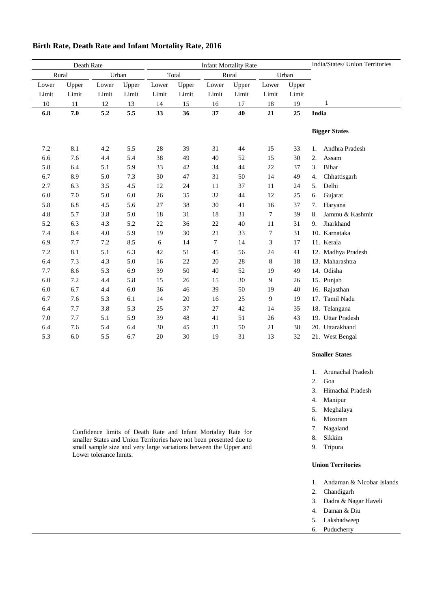| Death Rate |       |       |       |       | <b>Infant Mortality Rate</b> | India/States/ Union Territories |       |             |       |                       |
|------------|-------|-------|-------|-------|------------------------------|---------------------------------|-------|-------------|-------|-----------------------|
| Rural      |       |       | Urban |       | Total<br>Rural<br>Urban      |                                 |       |             |       |                       |
| Lower      | Upper | Lower | Upper | Lower | Upper                        | Lower                           | Upper | Lower       | Upper |                       |
| Limit      | Limit | Limit | Limit | Limit | Limit                        | Limit                           | Limit | Limit       | Limit |                       |
| 10         | 11    | 12    | 13    | 14    | 15                           | 16                              | 17    | 18          | 19    | $\mathbf{1}$          |
| 6.8        | 7.0   | 5.2   | 5.5   | 33    | 36                           | 37                              | 40    | 21          | 25    | India                 |
|            |       |       |       |       |                              |                                 |       |             |       |                       |
|            |       |       |       |       |                              |                                 |       |             |       | <b>Bigger States</b>  |
|            |       |       |       |       |                              |                                 |       |             |       |                       |
| 7.2        | 8.1   | 4.2   | 5.5   | 28    | 39                           | 31                              | 44    | 15          | 33    | Andhra Pradesh<br>1.  |
| 6.6        | 7.6   | 4.4   | 5.4   | 38    | 49                           | 40                              | 52    | 15          | 30    | 2.<br>Assam           |
| 5.8        | 6.4   | 5.1   | 5.9   | 33    | 42                           | 34                              | 44    | 22          | 37    | Bihar<br>3.           |
| 6.7        | 8.9   | 5.0   | 7.3   | 30    | 47                           | 31                              | 50    | 14          | 49    | Chhattisgarh<br>4.    |
| 2.7        | 6.3   | 3.5   | 4.5   | 12    | 24                           | 11                              | 37    | 11          | 24    | Delhi<br>5.           |
| 6.0        | 7.0   | 5.0   | 6.0   | 26    | 35                           | 32                              | 44    | 12          | 25    | Gujarat<br>6.         |
| 5.8        | 6.8   | 4.5   | 5.6   | 27    | 38                           | 30                              | 41    | 16          | 37    | 7.<br>Haryana         |
| 4.8        | 5.7   | 3.8   | 5.0   | 18    | 31                           | 18                              | 31    | 7           | 39    | Jammu & Kashmir<br>8. |
| 5.2        | 6.3   | 4.3   | 5.2   | 22    | 36                           | 22                              | 40    | 11          | 31    | Jharkhand<br>9.       |
| 7.4        | 8.4   | 4.0   | 5.9   | 19    | 30                           | 21                              | 33    | 7           | 31    | 10. Karnataka         |
| 6.9        | 7.7   | 7.2   | 8.5   | 6     | 14                           | $\tau$                          | 14    | 3           | 17    | 11. Kerala            |
| 7.2        | 8.1   | 5.1   | 6.3   | 42    | 51                           | 45                              | 56    | 24          | 41    | 12. Madhya Pradesh    |
| 6.4        | 7.3   | 4.3   | 5.0   | 16    | 22                           | 20                              | 28    | $\,$ 8 $\,$ | 18    | 13. Maharashtra       |
| 7.7        | 8.6   | 5.3   | 6.9   | 39    | 50                           | 40                              | 52    | 19          | 49    | 14. Odisha            |
| 6.0        | 7.2   | 4.4   | 5.8   | 15    | 26                           | 15                              | 30    | 9           | 26    | 15. Punjab            |
| 6.0        | 6.7   | 4.4   | 6.0   | 36    | 46                           | 39                              | 50    | 19          | 40    | 16. Rajasthan         |
| 6.7        | 7.6   | 5.3   | 6.1   | 14    | 20                           | 16                              | 25    | 9           | 19    | 17. Tamil Nadu        |
| 6.4        | 7.7   | 3.8   | 5.3   | 25    | 37                           | 27                              | 42    | 14          | 35    | 18. Telangana         |
| 7.0        | 7.7   | 5.1   | 5.9   | 39    | 48                           | 41                              | 51    | 26          | 43    | 19. Uttar Pradesh     |
| 6.4        | 7.6   | 5.4   | 6.4   | 30    | 45                           | 31                              | 50    | 21          | 38    | 20. Uttarakhand       |
| 5.3        | 6.0   | 5.5   | 6.7   | 20    | 30                           | 19                              | 31    | 13          | 32    | 21. West Bengal       |

### **Birth Rate, Death Rate and Infant Mortality Rate, 2016**

**Smaller States**

- 1. Arunachal Pradesh
- 2. Goa
- 3. Himachal Pradesh
- 4. Manipur
- 5. Meghalaya
- 6. Mizoram
- 7. Nagaland
- 8. Sikkim
- 9. Tripura

#### **Union Territories**

- 1. Andaman & Nicobar Islands
- 2. Chandigarh
- 3. Dadra & Nagar Haveli
- 4. Daman & Diu
- 5. Lakshadweep
- 6. Puducherry

Confidence limits of Death Rate and Infant Mortality Rate for smaller States and Union Territories have not been presented due to small sample size and very large variations between the Upper and Lower tolerance limits.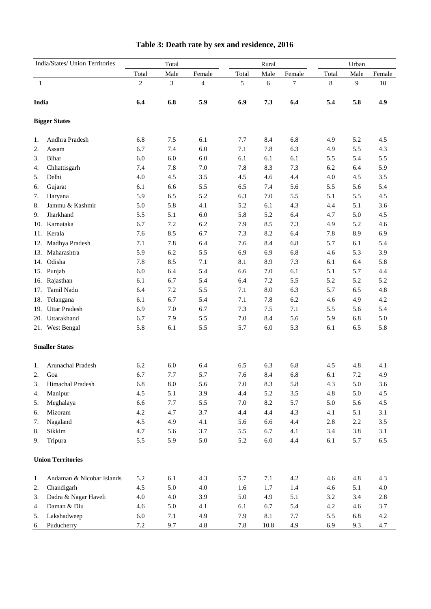| India/States/ Union Territories |                           | Total          |            |                |       | Rural   |         | Urban   |         |         |  |
|---------------------------------|---------------------------|----------------|------------|----------------|-------|---------|---------|---------|---------|---------|--|
|                                 |                           | Total          | Male       | Female         | Total | Male    | Female  | Total   | Male    | Female  |  |
| 1                               |                           | $\overline{c}$ | 3          | $\overline{4}$ | 5     | 6       | 7       | $\,8\,$ | 9       | 10      |  |
|                                 |                           |                |            |                |       |         |         |         |         |         |  |
| India                           |                           | 6.4            | 6.8        | 5.9            | 6.9   | 7.3     | 6.4     | 5.4     | 5.8     | 4.9     |  |
|                                 | <b>Bigger States</b>      |                |            |                |       |         |         |         |         |         |  |
| 1.                              | Andhra Pradesh            | 6.8            | 7.5        | 6.1            | 7.7   | 8.4     | 6.8     | 4.9     | 5.2     | 4.5     |  |
| 2.                              | Assam                     | 6.7            | 7.4        | 6.0            | 7.1   | 7.8     | 6.3     | 4.9     | 5.5     | 4.3     |  |
| 3.                              | Bihar                     | 6.0            | 6.0        | 6.0            | 6.1   | 6.1     | 6.1     | 5.5     | 5.4     | 5.5     |  |
| 4.                              | Chhattisgarh              | 7.4            | 7.8        | 7.0            | 7.8   | 8.3     | 7.3     | 6.2     | 6.4     | 5.9     |  |
| 5.                              | Delhi                     | 4.0            | 4.5        | $3.5$          | 4.5   | 4.6     | 4.4     | 4.0     | 4.5     | 3.5     |  |
| 6.                              | Gujarat                   | 6.1            | 6.6        | 5.5            | 6.5   | 7.4     | 5.6     | 5.5     | 5.6     | 5.4     |  |
| 7.                              | Haryana                   | 5.9            | 6.5        | 5.2            | 6.3   | 7.0     | 5.5     | 5.1     | 5.5     | 4.5     |  |
| 8.                              | Jammu & Kashmir           | 5.0            | 5.8        | 4.1            | 5.2   | 6.1     | 4.3     | 4.4     | 5.1     | 3.6     |  |
| 9.                              | Jharkhand                 | 5.5            | 5.1        | 6.0            | 5.8   | 5.2     | 6.4     | 4.7     | 5.0     | 4.5     |  |
| 10.                             | Karnataka                 | 6.7            | 7.2        | 6.2            | 7.9   | 8.5     | 7.3     | 4.9     | 5.2     | 4.6     |  |
| 11.                             | Kerala                    | 7.6            | 8.5        | 6.7            | 7.3   | 8.2     | 6.4     | 7.8     | 8.9     | 6.9     |  |
| 12.                             | Madhya Pradesh            | 7.1            | 7.8        | 6.4            | 7.6   | 8.4     | 6.8     | 5.7     | 6.1     | 5.4     |  |
| 13.                             | Maharashtra               | 5.9            | 6.2        | 5.5            | 6.9   | 6.9     | 6.8     | 4.6     | 5.3     | 3.9     |  |
| 14.                             | Odisha                    | 7.8            | 8.5        | 7.1            | 8.1   | 8.9     | 7.3     | 6.1     | 6.4     | 5.8     |  |
|                                 | 15. Punjab                | 6.0            | 6.4        | 5.4            | 6.6   | 7.0     | 6.1     | 5.1     | 5.7     | 4.4     |  |
| 16.                             | Rajasthan                 | 6.1            | 6.7        | 5.4            | 6.4   | 7.2     | 5.5     | 5.2     | 5.2     | 5.2     |  |
| 17.                             | Tamil Nadu                | 6.4            | 7.2        | 5.5            | 7.1   | 8.0     | 6.3     | 5.7     | 6.5     | 4.8     |  |
| 18.                             | Telangana                 | 6.1            | 6.7        | 5.4            | 7.1   | 7.8     | 6.2     | 4.6     | 4.9     | 4.2     |  |
|                                 | 19. Uttar Pradesh         | 6.9            | 7.0        | 6.7            | 7.3   | 7.5     | 7.1     | 5.5     | 5.6     | 5.4     |  |
|                                 | 20. Uttarakhand           | 6.7            | 7.9        | 5.5            | 7.0   | 8.4     | 5.6     | 5.9     | 6.8     | 5.0     |  |
|                                 | 21. West Bengal           | 5.8            | 6.1        | 5.5            | 5.7   | 6.0     | 5.3     | 6.1     | 6.5     | 5.8     |  |
|                                 | <b>Smaller States</b>     |                |            |                |       |         |         |         |         |         |  |
| 1.                              | Arunachal Pradesh         | 6.2            | 6.0        | 6.4            | 6.5   | 6.3     | 6.8     | 4.5     | 4.8     | 4.1     |  |
| 2.                              | Goa                       | 6.7            | 7.7        | 5.7            | 7.6   | 8.4     | 6.8     | 6.1     | 7.2     | 4.9     |  |
| 3.                              | Himachal Pradesh          | 6.8            | $\ \, 8.0$ | 5.6            | 7.0   | 8.3     | 5.8     | 4.3     | 5.0     | 3.6     |  |
| 4.                              | Manipur                   | 4.5            | 5.1        | 3.9            | 4.4   | 5.2     | 3.5     | 4.8     | 5.0     | 4.5     |  |
| 5.                              | Meghalaya                 | 6.6            | 7.7        | 5.5            | 7.0   | 8.2     | 5.7     | 5.0     | 5.6     | 4.5     |  |
| 6.                              | Mizoram                   | 4.2            | 4.7        | 3.7            | 4.4   | 4.4     | 4.3     | 4.1     | 5.1     | 3.1     |  |
| 7.                              | Nagaland                  | $4.5\,$        | 4.9        | 4.1            | 5.6   | 6.6     | $4.4\,$ | $2.8\,$ | $2.2\,$ | 3.5     |  |
| 8.                              | Sikkim                    | 4.7            | 5.6        | 3.7            | 5.5   | 6.7     | 4.1     | 3.4     | 3.8     | 3.1     |  |
| 9.                              | Tripura                   | 5.5            | 5.9        | 5.0            | 5.2   | $6.0\,$ | 4.4     | 6.1     | 5.7     | 6.5     |  |
|                                 | <b>Union Territories</b>  |                |            |                |       |         |         |         |         |         |  |
| 1.                              | Andaman & Nicobar Islands | 5.2            | 6.1        | 4.3            | 5.7   | 7.1     | $4.2\,$ | 4.6     | 4.8     | 4.3     |  |
| 2.                              | Chandigarh                | 4.5            | 5.0        | $4.0\,$        | 1.6   | 1.7     | 1.4     | 4.6     | 5.1     | $4.0\,$ |  |
| 3.                              | Dadra & Nagar Haveli      | 4.0            | 4.0        | 3.9            | 5.0   | 4.9     | 5.1     | 3.2     | 3.4     | 2.8     |  |
| 4.                              | Daman & Diu               | 4.6            | 5.0        | 4.1            | 6.1   | 6.7     | 5.4     | $4.2\,$ | 4.6     | 3.7     |  |
| 5.                              | Lakshadweep               | 6.0            | 7.1        | 4.9            | 7.9   | 8.1     | 7.7     | 5.5     | 6.8     | $4.2\,$ |  |
| 6.                              | Puducherry                | $7.2\,$        | 9.7        | $4.8\,$        | 7.8   | 10.8    | 4.9     | 6.9     | 9.3     | 4.7     |  |

## **Table 3: Death rate by sex and residence, 2016**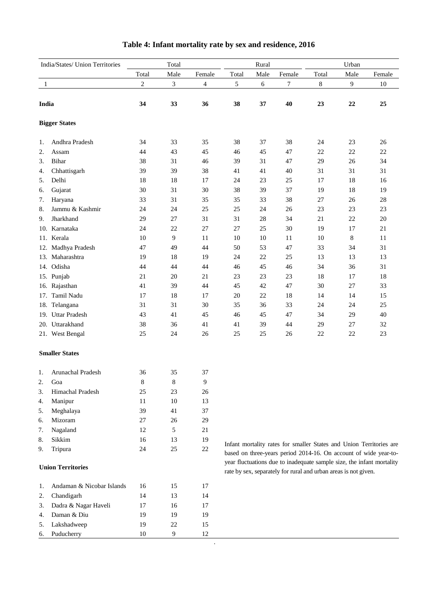|       | India/States/ Union Territories | Total          |             |        |       | Rural |                                                                 | Urban  |        |                                                                                                                                         |  |
|-------|---------------------------------|----------------|-------------|--------|-------|-------|-----------------------------------------------------------------|--------|--------|-----------------------------------------------------------------------------------------------------------------------------------------|--|
|       |                                 | Total          | Male        | Female | Total | Male  | Female                                                          | Total  | Male   | Female                                                                                                                                  |  |
| 1     |                                 | $\overline{c}$ | 3           | 4      | 5     | 6     | 7                                                               | 8      | 9      | 10                                                                                                                                      |  |
| India |                                 | 34             | 33          | 36     | 38    | 37    | 40                                                              | 23     | $22\,$ | 25                                                                                                                                      |  |
|       | <b>Bigger States</b>            |                |             |        |       |       |                                                                 |        |        |                                                                                                                                         |  |
|       |                                 |                |             |        |       |       |                                                                 |        |        |                                                                                                                                         |  |
| 1.    | Andhra Pradesh                  | 34             | 33          | 35     | 38    | 37    | 38                                                              | 24     | 23     | 26                                                                                                                                      |  |
| 2.    | Assam                           | 44             | 43          | 45     | 46    | 45    | 47                                                              | 22     | $22\,$ | $22\,$                                                                                                                                  |  |
| 3.    | Bihar                           | 38             | 31          | 46     | 39    | 31    | 47                                                              | 29     | 26     | 34                                                                                                                                      |  |
| 4.    | Chhattisgarh                    | 39             | 39          | 38     | 41    | 41    | 40                                                              | 31     | 31     | 31                                                                                                                                      |  |
| 5.    | Delhi                           | 18             | 18          | 17     | 24    | 23    | 25                                                              | 17     | 18     | 16                                                                                                                                      |  |
| 6.    | Gujarat                         | 30             | 31          | 30     | 38    | 39    | 37                                                              | 19     | 18     | 19                                                                                                                                      |  |
| 7.    | Haryana                         | 33             | 31          | 35     | 35    | 33    | 38                                                              | 27     | 26     | $28\,$                                                                                                                                  |  |
| 8.    | Jammu & Kashmir                 | 24             | 24          | 25     | 25    | 24    | 26                                                              | 23     | 23     | 23                                                                                                                                      |  |
| 9.    | Jharkhand                       | 29             | 27          | 31     | 31    | 28    | 34                                                              | 21     | 22     | $20\,$                                                                                                                                  |  |
|       | 10. Karnataka                   | 24             | 22          | 27     | 27    | 25    | 30                                                              | 19     | 17     | 21                                                                                                                                      |  |
|       | 11. Kerala                      | 10             | 9           | 11     | 10    | 10    | 11                                                              | 10     | 8      | 11                                                                                                                                      |  |
|       | 12. Madhya Pradesh              | 47             | 49          | 44     | 50    | 53    | 47                                                              | 33     | 34     | 31                                                                                                                                      |  |
|       | 13. Maharashtra                 | 19             | 18          | 19     | 24    | 22    | 25                                                              | 13     | 13     | 13                                                                                                                                      |  |
|       | 14. Odisha                      | 44             | 44          | 44     | 46    | 45    | 46                                                              | 34     | 36     | 31                                                                                                                                      |  |
|       | 15. Punjab                      | 21             | 20          | 21     | 23    | 23    | 23                                                              | 18     | 17     | 18                                                                                                                                      |  |
|       | 16. Rajasthan                   | 41             | 39          | 44     | 45    | 42    | 47                                                              | 30     | 27     | 33                                                                                                                                      |  |
| 17.   | Tamil Nadu                      | 17             | 18          | 17     | 20    | 22    | 18                                                              | 14     | 14     | 15                                                                                                                                      |  |
|       | 18. Telangana                   | 31             | 31          | 30     | 35    | 36    | 33                                                              | 24     | 24     | 25                                                                                                                                      |  |
|       | 19. Uttar Pradesh               | 43             | 41          | 45     | 46    | 45    | 47                                                              | 34     | 29     | 40                                                                                                                                      |  |
|       | 20. Uttarakhand                 | 38             | 36          | 41     | 41    | 39    | 44                                                              | 29     | 27     | 32                                                                                                                                      |  |
|       | 21. West Bengal                 | 25             | 24          | 26     | 25    | 25    | 26                                                              | $22\,$ | 22     | 23                                                                                                                                      |  |
|       | <b>Smaller States</b>           |                |             |        |       |       |                                                                 |        |        |                                                                                                                                         |  |
| 1.    | Arunachal Pradesh               | 36             | 35          | 37     |       |       |                                                                 |        |        |                                                                                                                                         |  |
| 2.    | Goa                             | $\bf 8$        | $\,$ 8 $\,$ | 9      |       |       |                                                                 |        |        |                                                                                                                                         |  |
| 3.    | Himachal Pradesh                | 25             | 23          | 26     |       |       |                                                                 |        |        |                                                                                                                                         |  |
| 4.    | Manipur                         | 11             | $10\,$      | 13     |       |       |                                                                 |        |        |                                                                                                                                         |  |
| 5.    | Meghalaya                       | 39             | 41          | 37     |       |       |                                                                 |        |        |                                                                                                                                         |  |
| 6.    | Mizoram                         | $27\,$         | $26\,$      | 29     |       |       |                                                                 |        |        |                                                                                                                                         |  |
| 7.    | Nagaland                        | 12             | 5           | 21     |       |       |                                                                 |        |        |                                                                                                                                         |  |
| 8.    | Sikkim                          | 16             | 13          | 19     |       |       |                                                                 |        |        |                                                                                                                                         |  |
| 9.    | Tripura                         | 24             | $25\,$      | $22\,$ |       |       |                                                                 |        |        | Infant mortality rates for smaller States and Union Territories are<br>based on three-years period 2014-16. On account of wide year-to- |  |
|       |                                 |                |             |        |       |       |                                                                 |        |        | year fluctuations due to inadequate sample size, the infant mortality                                                                   |  |
|       | <b>Union Territories</b>        |                |             |        |       |       | rate by sex, separately for rural and urban areas is not given. |        |        |                                                                                                                                         |  |
| 1.    | Andaman & Nicobar Islands       | 16             | 15          | 17     |       |       |                                                                 |        |        |                                                                                                                                         |  |
| 2.    | Chandigarh                      | 14             | 13          | 14     |       |       |                                                                 |        |        |                                                                                                                                         |  |
| 3.    | Dadra & Nagar Haveli            | $17\,$         | 16          | 17     |       |       |                                                                 |        |        |                                                                                                                                         |  |
| 4.    | Daman & Diu                     | 19             | 19          | 19     |       |       |                                                                 |        |        |                                                                                                                                         |  |
| 5.    | Lakshadweep                     | 19             | $22\,$      | 15     |       |       |                                                                 |        |        |                                                                                                                                         |  |
| 6.    | Puducherry                      | 10             | 9           | 12     |       |       |                                                                 |        |        |                                                                                                                                         |  |

## **Table 4: Infant mortality rate by sex and residence, 2016**